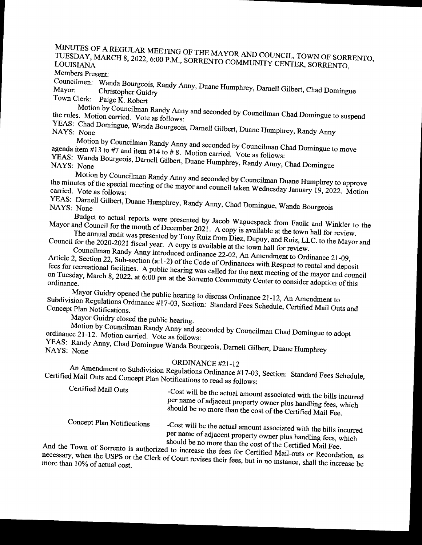MINUTES OF A REGULAR MEETING OF THE MAYOR AND COUNCIL, TOWN OF SORRENTO, TUESDAY, MARCH 8, 2022, 6:00 P.M., SORRENTO COMMUNITY CENTER, SORRENTO,

Members Present:

Councilmen: Mayor: Christopher Guidry<br>Town Clerk: Paige K. Robert<br>Town Clerk: Paige K. Robert

Motion by Councilman Randy Anny and seconded by Councilman Chad Domingue to suspend<br>the rules. Motion carried. Vote as follows:

YEAS: Chad Domingue, Wanda Bourgeois, Darnell Gilbert, Duane Humphrey, Randy Anny<br>NAYS: None<br>Motion by Councilman Randy Anny and seconded by Councilman Chad Domingue to move

agenda item #13 to #7 and item #14 to #8. Motion carried. Vote as follows:<br>YEAS: Wanda Bourneois Damell Gill Anny and seconded by Councilman Chad Domingue to move

YEAS: Wanda Bourgeois, Darnell Gilbert, Duane Humphrey, Randy Anny, Chad Domingue<br>NAYS: None<br>Motion by Councilman Randy Anny and seconded by Councilman Duane Humphrey to approve

Ites of the special meeting of the mayor and council taken W. 1 and  $\frac{1}{2}$ carried. Vote as follows:  $\frac{1}{2}$ ,  $\frac{1}{2}$  and council taken Wednesday January 19, 2022. Motion

YEAS: Darnell Gilbert, Duane Humphrey, Randy Anny, Chad Domingue, Wanda Bourgeois

Budget to actual reports were presented by Jacob Waguespack from Faulk and Winkler to the and Council for the month of December 2021. A copy is available at the town hall for review.<br>The annual audit was presented by Tony Mayor and Council for the month of December 2021. A copy is available at the town hall for review.

The audit was presented by Touncil audit was presented by Touncil manner Ruiz from Diez, Dupus, Council manner Ruiz, Luis from Diez, Dupus, Luis for the Council manner Randy Anny introduced ordinance 22-02, An Amendment to

2, Section 22, Sub-section  $(a_1, b_2)$  of the Code of Ouly integration  $\overline{a_1}$ . fees for recreational facilities. A nublic hearing was salled  $\zeta$  and  $\zeta$  at Respect to rental and deposit fees for recreational facilities. A public hearing was called for the next meeting of the mayor and council on Tuesday, March 8, 2022, at 6:00 pm at the Sorrento Community Center to consider adoption of this ordinance on Tuesday, March 8, 2022, at 6:00 pm at the Sorrento Community Center to consider adoption of this ordinance.<br>Mayor Guidry opened the public hearing to discuss Ordinance 21-12, An Amendment to

 $\frac{1}{2}$  Mayor Guide the public hearing to discuss Ordinance 21-12, An Amendment to Concept Plan Notifications. **Exercise 17-17-03, Section:** Standard Fees Schedule, Certified Mail Outs and

Mayor Guidry closed the public hearing.

Motion by Councilman Randy Anny and seconded by Councilman Chad Domingue to adopt ordinance 21-12. Motion carried. Vote as follows:

YEAS: Randy Anny, Chad Domingue Wanda Bourgeois, Darnell Gilbert, Duane Humphrey

ORDINANCE #21-12<br>An Amendment to Subdivision Regulations Ordinance #17-03, Section: Standard Fees Schedule, Certified Mail Outs and Concept Plan Notifications to read as follows:

| Certified Mail Outs        | -Cost will be the actual amount associated with the bills incurred<br>per name of adjacent property owner plus handling fees, which<br>should be no more than the cost of the Certified Mail Fee. |
|----------------------------|---------------------------------------------------------------------------------------------------------------------------------------------------------------------------------------------------|
| Concept Plan Notifications | -Cost will be the actual amount accession $1$ in $1 \leq n \leq n$                                                                                                                                |

he actual amount associated with the bills incurred per name of adjacent property owner plus handling fees, which should be no more than the cost of the Certified Mail Fee.

And the Town of Sorrento is authorized to increase the fees for Certified Mail-outs or Recordation, as necessary, when the USPS or the Clerk of Court revises their fees, but in no instance, shall the increase be more than necessary, when the USPS or the Clerk of Court revises their fees, but in no instance, shall the increase be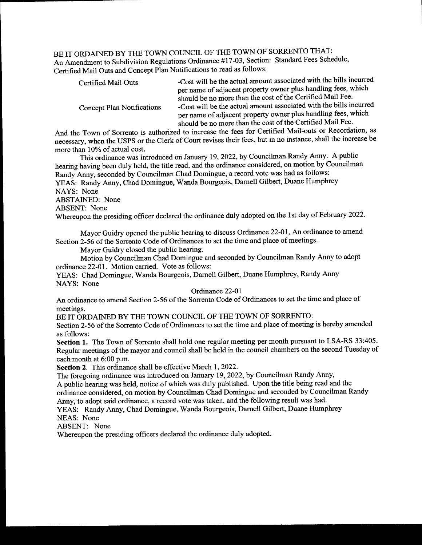BE IT ORDAINED BY THE TOWN COUNCIL OF THE TOWN OF SORRENTO THAT: An Amendment to Subdivision Regulations Ordinance #17-03, Section: Standard Fees Schedule, Certified Mail Outs and Concept Plan Notifications to read as follows:

| Certified Mail Outs        | -Cost will be the actual amount associated with the bills incurred<br>per name of adjacent property owner plus handling fees, which                                                                                                                             |
|----------------------------|-----------------------------------------------------------------------------------------------------------------------------------------------------------------------------------------------------------------------------------------------------------------|
| Concept Plan Notifications | should be no more than the cost of the Certified Mail Fee.<br>-Cost will be the actual amount associated with the bills incurred<br>per name of adjacent property owner plus handling fees, which<br>should be no more than the cost of the Certified Mail Fee. |
|                            |                                                                                                                                                                                                                                                                 |

And the Town of Sorrento is authorized to increase the fees for Certified Mail-outs or Recordation, as necessary, when the USPS or the Clerk of Court revises their fees, but in no instance, shall the increase be more than 10% of actual cost.

This ordinance was introduced on January 19, 2022, by Councilman Randy Anny. A public hearing having been duly held, the title read, and the ordinance considered, on motion by Councilman Randy Anny, seconded by Councilman Chad Domingue, a record vote was had as follows: YEAS: Randy Anny, Chad Domingue, Wanda Bourgeois, Darnell Gilbert, Duane Humphrey NAYS: None ABSTAINED: None

ABSENT: None

Whereupon the presiding officer declared the ordinance duly adopted on the 1st day of February 2022.

Mayor Guidry opened the public hearing to discuss Ordinance 22-01, An ordinance to amend Section 2-56 of the Sorrento Code of Ordinances to set the time and place of meetings.

Mayor Guidry closed the public hearing.

Motion by Councilman Chad Domingue and seconded by Councilman Randy Anny to adopt ordinance 22-01. Motion carried. Vote as follows:

YEAS: Chad Domingue, Wanda Bourgeois, Darnell Gilbert, Duane Humphrey, Randy Anny NAYS: None

Ordinance 22-01

An ordinance to amend Section 2-56 of the Sorrento Code of Ordinances to set the time and place of meetings.

BE IT ORDAINED BY THE TOWN COUNCIL OF THE TOWN OF SORRENTO:

Section 2-56 of the Sorrento Code of Ordinances to set the time and place of meeting is hereby amended as follows:

Section 1. The Town of Sorrento shall hold one regular meeting per month pursuant to LSA-RS 33:405. Regular meetings of the mayor and council shall be held in the council chambers on the second Tuesday of each month at 6:00 p.m.

Section 2. This ordinance shall be effective March 1, 2022.

The foregoing ordinance was introduced on January 19, 2022, by Councilman Randy Anny, A public hearing was held, notice of which was duly published. Upon the title being read and the ordinance considered, on motion by Councilman Chad Domingue and seconded by Councilman Randy Anny, to adopt said ordinance, a record vote was taken, and the following result was had.

YEAS: Randy Anny, Chad Domingue, Wanda Bourgeois, Darnell Gilbert, Duane Humphrey NEAS: None

ABSENT: None

Whereupon the presiding officers declared the ordinance duly adopted.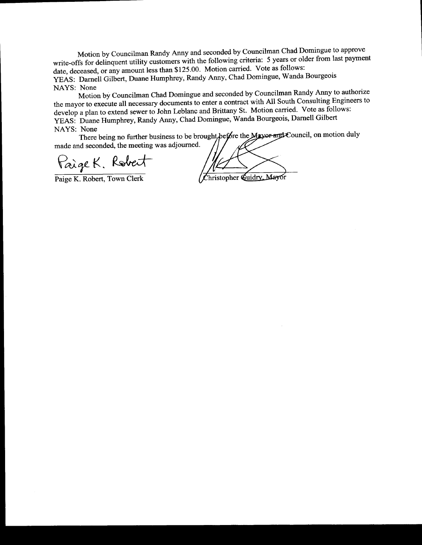Motion by Councilman Randy Anny and seconded by Councilman Chad Domingue to approve write-offs for delinquent utility customers with the following criteria: 5 years or older from last payment date, deceased, or any amount less than \$125.00. Motion carried. Vote as follows: YEAS: Darnell Gilbert, Duane Humphrey, Randy Anny, Chad Domingue, Wanda Bourgeois NAYS: None

Motion by Councilman Chad Domingue and seconded by Councilman Randy Anny to authorize the mayor to execute all necessary documents to enter <sup>a</sup> contract with All South Consulting Engineers to develop a plan to extend sewer to John Leblanc and Brittany St. Motion carried. Vote as follows: YEAS: Duane Humphrey, Randy Anny, Chad Domingue, Wanda Bourgeois, Darnell Gilbert NAYS: None

There being no further business to be brought, before the Mayor and Council, on motion duly made and seconded, the meeting was adjourned.

Paige K. Robert<br>Paige K. Robert, Town Clerk (Christopher Guidry Mayor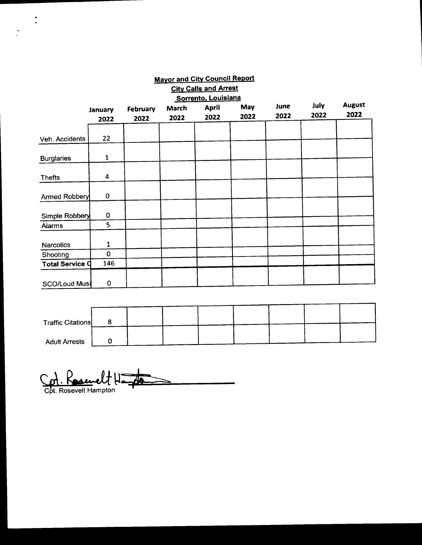|                        |                |          |       | <b>City Calls and Arrest</b> |      |      |      |               |
|------------------------|----------------|----------|-------|------------------------------|------|------|------|---------------|
|                        |                |          |       | Sorrento, Louisiana          |      |      |      |               |
|                        | <b>January</b> | February | March | <b>April</b>                 | May  | June | July | <b>August</b> |
|                        | 2022           | 2022     | 2022  | 2022                         | 2022 | 2022 | 2022 | 2022          |
|                        |                |          |       |                              |      |      |      |               |
| Veh. Accidents         | 22             |          |       |                              |      |      |      |               |
|                        |                |          |       |                              |      |      |      |               |
| <b>Burglaries</b>      | 1              |          |       |                              |      |      |      |               |
|                        |                |          |       |                              |      |      |      |               |
| <b>Thefts</b>          | 4              |          |       |                              |      |      |      |               |
|                        |                |          |       |                              |      |      |      |               |
| Armed Robbery          | $\pmb{0}$      |          |       |                              |      |      |      |               |
|                        |                |          |       |                              |      |      |      |               |
| Simple Robbery         | $\bf{0}$       |          |       |                              |      |      |      |               |
| Alarms                 | 5              |          |       |                              |      |      |      |               |
|                        |                |          |       |                              |      |      |      |               |
| <b>Narcotics</b>       | 1              |          |       |                              |      |      |      |               |
| Shooting               | $\mathbf 0$    |          |       |                              |      |      |      |               |
| <b>Total Service Q</b> | 146            |          |       |                              |      |      |      |               |
|                        |                |          |       |                              |      |      |      |               |
| SCO/Loud Musi          | 0              |          |       |                              |      |      |      |               |

Mayor and City Council Report

| <b>Traffic Citations</b> |  |  |  |  |
|--------------------------|--|--|--|--|
|                          |  |  |  |  |
| <b>Adult Arrests</b>     |  |  |  |  |

Cpt. Reservelt Hang **AR** 

 $\ddot{\cdot}$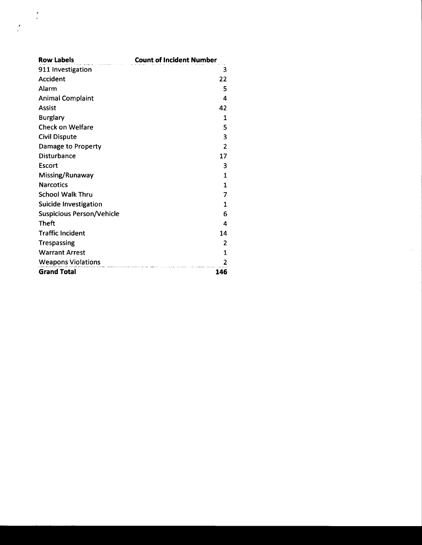| <b>Row Labels</b>                | <b>Count of Incident Number</b> |
|----------------------------------|---------------------------------|
| 911 Investigation                | 3                               |
| Accident                         | 22                              |
| Alarm                            | 5                               |
| <b>Animal Complaint</b>          | 4                               |
| <b>Assist</b>                    | 42                              |
| <b>Burglary</b>                  | 1                               |
| <b>Check on Welfare</b>          | 5                               |
| <b>Civil Dispute</b>             | 3                               |
| Damage to Property               | $\overline{\phantom{a}}$        |
| Disturbance                      | 17                              |
| Escort                           | 3                               |
| Missing/Runaway                  | $\mathbf{1}$                    |
| <b>Narcotics</b>                 | 1                               |
| <b>School Walk Thru</b>          | 7                               |
| <b>Suicide Investigation</b>     | 1                               |
| <b>Suspicious Person/Vehicle</b> | 6                               |
| <b>Theft</b>                     | 4                               |
| <b>Traffic Incident</b>          | 14                              |
| <b>Trespassing</b>               | 2                               |
| <b>Warrant Arrest</b>            | 1                               |
| <b>Weapons Violations</b>        | 2                               |
| <b>Grand Total</b>               | 146                             |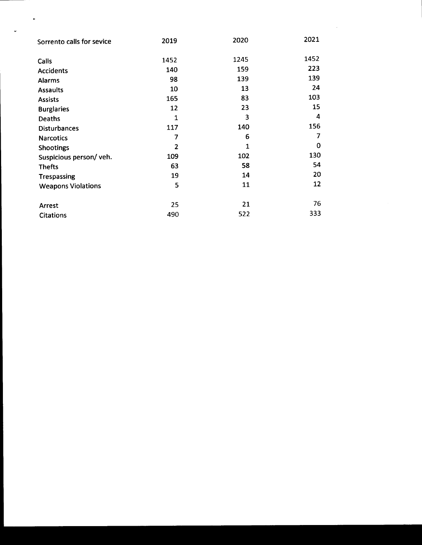| Sorrento calls for sevice | 2019           | 2020 | 2021 |
|---------------------------|----------------|------|------|
| Calls                     | 1452           | 1245 | 1452 |
| <b>Accidents</b>          | 140            | 159  | 223  |
| <b>Alarms</b>             | 98             | 139  | 139  |
| <b>Assaults</b>           | 10             | 13   | 24   |
| <b>Assists</b>            | 165            | 83   | 103  |
| <b>Burglaries</b>         | 12             | 23   | 15   |
| Deaths                    | 1              | 3    | 4    |
| <b>Disturbances</b>       | 117            | 140  | 156  |
| <b>Narcotics</b>          | 7              | 6    | 7    |
| Shootings                 | $\overline{2}$ | 1    | 0    |
| Suspicious person/veh.    | 109            | 102  | 130  |
| <b>Thefts</b>             | 63             | 58   | 54   |
| <b>Trespassing</b>        | 19             | 14   | 20   |
| <b>Weapons Violations</b> | 5              | 11   | 12   |
| Arrest                    | 25             | 21   | 76   |
| <b>Citations</b>          | 490            | 522  | 333  |

 $\mathcal{A}^{\mathcal{A}}$ 

 $\bullet$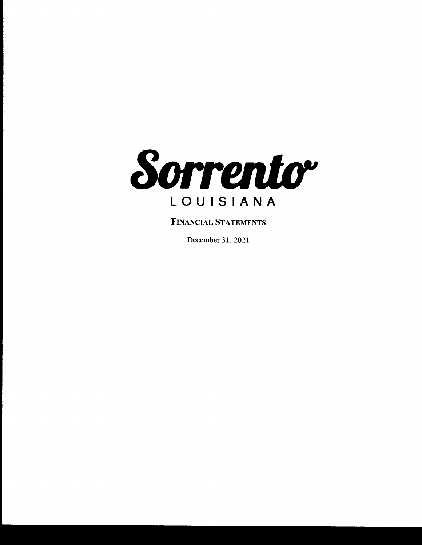

FINANCIAL STATEMENTS

December 31, 2021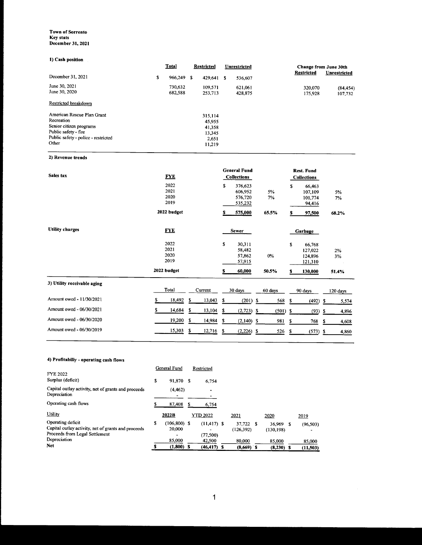#### Town of Sorrento Key stats December 31, 2021

#### 1) Cash position

| <b>Total</b> |                    |                    | Unrestricted                                   |                    |                    | Change from June 30th |  |
|--------------|--------------------|--------------------|------------------------------------------------|--------------------|--------------------|-----------------------|--|
| \$           |                    |                    | S                                              | 536,607            |                    | <b>Unrestricted</b>   |  |
|              | 730.632<br>682,588 | 109,571<br>253,713 |                                                | 621,061<br>428,875 | 320,070<br>175,928 | (84, 454)<br>107,732  |  |
|              |                    |                    |                                                |                    |                    |                       |  |
|              |                    | 315,114            |                                                |                    |                    |                       |  |
|              |                    | 45,955             |                                                |                    |                    |                       |  |
|              |                    |                    |                                                |                    |                    |                       |  |
|              |                    |                    |                                                |                    |                    |                       |  |
|              |                    |                    |                                                |                    |                    |                       |  |
|              |                    | 11,219             |                                                |                    |                    |                       |  |
|              |                    | 966,249 \$         | <b>Restricted</b><br>41,358<br>13.345<br>2,651 | 429.641            |                    | <b>Restricted</b>     |  |

#### 2) Revenue trends

| Sales tax                   | <b>FYE</b>                                  |    |                   |        | <b>General Fund</b><br><b>Collections</b>      |                      |         | <b>Rest. Fund</b><br><b>Collections</b>            |    |                   |
|-----------------------------|---------------------------------------------|----|-------------------|--------|------------------------------------------------|----------------------|---------|----------------------------------------------------|----|-------------------|
|                             | 2022<br>2021<br>2020<br>2019                |    |                   | \$     | 376,623<br>606,952<br>576,720<br>535,232       | 5%<br>7%             | \$      | 66,463<br>107,109<br>101,774<br>94,416             |    | 5%<br>7%          |
|                             | 2022 budget                                 |    |                   | s      | 575,000                                        | 65.5%                | s       | 97,500                                             |    | 68.2%             |
| <b>Utility charges</b>      | <b>FYE</b>                                  |    |                   |        | <b>Sewer</b>                                   |                      |         | Garbage                                            |    |                   |
|                             | 2022<br>2021<br>2020<br>2019<br>2022 budget |    |                   | s<br>s | 30,311<br>58,482<br>57,862<br>57,915<br>60,000 | 0%<br>50.5%          | \$<br>s | 66,768<br>127,022<br>124,896<br>121,310<br>130,000 |    | 2%<br>3%<br>51.4% |
| 3) Utility receivable aging |                                             |    |                   |        |                                                |                      |         |                                                    |    |                   |
| Amount owed - 11/30/2021    | Total<br>18,492<br>\$                       | S  | Current<br>13,043 | \$     | 30 days<br>(201)                               | \$<br>60 days<br>568 | s       | 90 days<br>(492)                                   | \$ | 120 days<br>5,574 |
| Amount owed - 06/30/2021    | 14,684<br>S                                 | \$ | 13,104            | \$     | $(2,723)$ \$                                   | (501)                | -\$     | (93)                                               | \$ | 4,896             |
| Amount owed - 06/30/2020    | 19,200                                      | \$ | 14,984            | \$     | $(2,140)$ \$                                   | 981                  | \$      | 768                                                | s  | 4,608             |
| Amount owed - 06/30/2019    | 15,303                                      | S  | 12,716            | S      | $(2,226)$ \$                                   | 526                  | \$      | (573)                                              | \$ | 4,860             |

#### 4) Profitabiliy- operating cash flows

|                                                                                                            |    | General Fund              |   | Restricted                      |                        |                        |           |
|------------------------------------------------------------------------------------------------------------|----|---------------------------|---|---------------------------------|------------------------|------------------------|-----------|
| <b>FYE 2022</b><br>Surplus (deficit)                                                                       | \$ | 91,870 \$                 |   | 6.754                           |                        |                        |           |
| Capital outlay activity, net of grants and proceeds<br>Depreciation                                        |    | (4, 462)                  |   | $\blacksquare$                  |                        |                        |           |
| Operating cash flows                                                                                       |    | 87,408                    | S | 6,754                           |                        |                        |           |
| Utility                                                                                                    |    | 2022B                     |   | <b>YTD 2022</b>                 | 2021                   | 2020                   | 2019      |
| Operating deficit<br>Capital outlay activity, net of grants and proceeds<br>Proceeds from Legal Settlement | s  | $(106, 800)$ \$<br>20,000 |   | $(11, 417)$ \$<br>۰<br>(77,500) | 37.722 \$<br>(126.392) | 36.969 S<br>(130, 198) | (96, 503) |
| Depreciation                                                                                               |    | 85,000                    |   | 42,500                          | 80,000                 | 85,000                 | 85,000    |
| <b>Net</b>                                                                                                 |    | $(1,800)$ \$              |   | $(46, 417)$ \$                  | $(8,669)$ \$           | $(8,230)$ \$           | (11, 503) |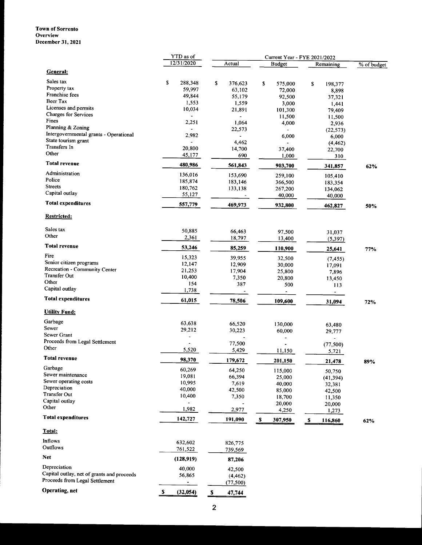#### Town of Sorrento **Overview** December 31, 2021

|                                            | YTD as of                              |    | Current Year - FYE 2021/2022 |    |                       |   |                                 |             |  |
|--------------------------------------------|----------------------------------------|----|------------------------------|----|-----------------------|---|---------------------------------|-------------|--|
|                                            | 12/31/2020                             |    | Actual                       |    | <b>Budget</b>         |   | Remaining                       | % of budget |  |
| <b>General:</b>                            |                                        |    |                              |    |                       |   |                                 |             |  |
| Sales tax                                  |                                        |    |                              |    |                       |   |                                 |             |  |
| Property tax                               | \$<br>288,348                          | \$ | 376,623                      | \$ | 575,000               | s | 198,377                         |             |  |
| Franchise fees                             | 59,997                                 |    | 63,102                       |    | 72,000                |   | 8,898                           |             |  |
| Beer Tax                                   | 49,844                                 |    | 55,179                       |    | 92,500                |   | 37,321                          |             |  |
| Licenses and permits                       | 1,553                                  |    | 1,559                        |    | 3,000                 |   | 1,441                           |             |  |
| Charges for Services                       | 10,034                                 |    | 21,891                       |    | 101,300               |   | 79,409                          |             |  |
| Fines                                      |                                        |    | $\overline{a}$               |    | 11,500                |   | 11,500                          |             |  |
| Planning & Zoning                          | 2,251                                  |    | 1,064                        |    | 4,000                 |   | 2,936                           |             |  |
| Intergovernmental grants - Operational     | 2,982                                  |    | 22,573                       |    |                       |   | (22, 573)                       |             |  |
| State tourism grant                        |                                        |    |                              |    | 6,000                 |   | 6,000                           |             |  |
| Transfers In                               | 20,800                                 |    | 4,462                        |    |                       |   | (4, 462)                        |             |  |
| Other                                      | 45,177                                 |    | 14,700<br>690                |    | 37,400                |   | 22,700                          |             |  |
| <b>Total revenue</b>                       | 480,986                                |    | 561,843                      |    | 1,000                 |   | 310                             |             |  |
| Administration                             | 136,016                                |    |                              |    | 903,700               |   | 341,857                         | 62%         |  |
| Police                                     | 185,874                                |    | 153,690                      |    | 259,100               |   | 105,410                         |             |  |
| <b>Streets</b>                             | 180,762                                |    | 183,146<br>133,138           |    | 366,500               |   | 183,354                         |             |  |
| Capital outlay                             | 55,127                                 |    |                              |    | 267,200               |   | 134,062                         |             |  |
|                                            |                                        |    |                              |    | 40,000                |   | 40,000                          |             |  |
| <b>Total expenditures</b>                  | 557,779                                |    | 469,973                      |    | 932,800               |   | 462,827                         | 50%         |  |
| Restricted:                                |                                        |    |                              |    |                       |   |                                 |             |  |
| Sales tax                                  | 50,885                                 |    | 66,463                       |    | 97.500                |   |                                 |             |  |
| Other                                      | 2,361                                  |    | 18,797                       |    |                       |   | 31,037                          |             |  |
| <b>Total revenue</b>                       | 53,246                                 |    |                              |    | 13,400                |   | (5, 397)                        |             |  |
| Fire                                       |                                        |    | 85,259                       |    | 110,900               |   | 25,641                          | 77%         |  |
| Senior citizen programs                    | 15,323                                 |    | 39,955                       |    | 32,500                |   | (7, 455)                        |             |  |
| Recreation - Community Center              | 12,147<br>21,253                       |    | 12,909                       |    | 30,000                |   | 17,091                          |             |  |
| <b>Transfer Out</b>                        | 10,400                                 |    | 17,904                       |    | 25,800                |   | 7,896                           |             |  |
| Other                                      | 154                                    |    | 7,350                        |    | 20,800                |   | 13,450                          |             |  |
| Capital outlay                             | 1,738                                  |    | 387<br>$\blacksquare$        |    | 500<br>$\blacksquare$ |   | 113<br>$\overline{\phantom{a}}$ |             |  |
| <b>Total expenditures</b>                  | 61,015                                 |    | 78,506                       |    | 109,600               |   | 31,094                          | 72%         |  |
| <b>Utility Fund:</b>                       |                                        |    |                              |    |                       |   |                                 |             |  |
| Garbage                                    |                                        |    |                              |    |                       |   |                                 |             |  |
| Sewer                                      | 63,638                                 |    | 66,520                       |    | 130,000               |   | 63,480                          |             |  |
| Sewer Grant                                | 29,212                                 |    | 30,223                       |    | 60,000                |   | 29,777                          |             |  |
| Proceeds from Legal Settlement             | $\ddot{\phantom{0}}$<br>$\blacksquare$ |    |                              |    |                       |   |                                 |             |  |
| Other                                      | 5,520                                  |    | 77,500                       |    |                       |   | (77, 500)                       |             |  |
| Total revenue                              |                                        |    | 5,429                        |    | 11,150                |   | 5,721                           |             |  |
|                                            | 98,370                                 |    | 179,672                      |    | 201,150               |   | 21,478                          | 89%         |  |
| Garbage                                    | 60,269                                 |    | 64,250                       |    | 115,000               |   | 50,750                          |             |  |
| Sewer maintenance                          | 19,081                                 |    | 66,394                       |    | 25,000                |   | (41, 394)                       |             |  |
| Sewer operating costs                      | 10,995                                 |    | 7,619                        |    | 40,000                |   | 32,381                          |             |  |
| Depreciation<br>Transfer Out               | 40,000                                 |    | 42,500                       |    | 85,000                |   | 42,500                          |             |  |
| Capital outlay                             | 10,400                                 |    | 7,350                        |    | 18,700                |   | 11,350                          |             |  |
| Other                                      |                                        |    |                              |    | 20,000                |   | 20,000                          |             |  |
| <b>Total expenditures</b>                  | 1,982                                  |    | 2,977                        |    | 4,250                 |   | 1,273                           |             |  |
|                                            | 142,727                                |    | 191,090                      | S  | 307,950               | S | 116,860                         | 62%         |  |
| <u>Total:</u>                              |                                        |    |                              |    |                       |   |                                 |             |  |
| Inflows                                    | 632,602                                |    | 826,775                      |    |                       |   |                                 |             |  |
| Outflows                                   | 761,522                                |    | 739,569                      |    |                       |   |                                 |             |  |
| Net                                        | (128, 919)                             |    | 87,206                       |    |                       |   |                                 |             |  |
| Depreciation                               | 40,000                                 |    | 42,500                       |    |                       |   |                                 |             |  |
| Capital outlay, net of grants and proceeds | 56,865                                 |    | (4, 462)                     |    |                       |   |                                 |             |  |
| Proceeds from Legal Settlement             |                                        |    | (77,500)                     |    |                       |   |                                 |             |  |
| Operating, net                             | \$<br>(32, 054)                        | S  | 47,744                       |    |                       |   |                                 |             |  |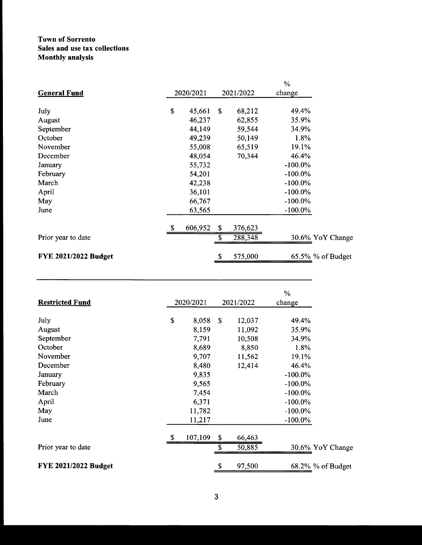# Town of Sorrento Sales and use tax collections Monthly analysis

|               |           |         | $\%$                 |                   |
|---------------|-----------|---------|----------------------|-------------------|
|               |           |         | change               |                   |
| \$<br>45,661  | \$        | 68,212  | 49.4%                |                   |
| 46,237        |           | 62,855  | 35.9%                |                   |
| 44,149        |           | 59,544  | 34.9%                |                   |
| 49,239        |           | 50,149  | 1.8%                 |                   |
| 55,008        |           | 65,519  | 19.1%                |                   |
| 48,054        |           | 70,344  | 46.4%                |                   |
| 55,732        |           |         | $-100.0\%$           |                   |
| 54,201        |           |         | $-100.0\%$           |                   |
| 42,238        |           |         | $-100.0\%$           |                   |
| 36,101        |           |         | $-100.0\%$           |                   |
| 66,767        |           |         | $-100.0\%$           |                   |
| 63,565        |           |         | $-100.0\%$           |                   |
| \$<br>606,952 | \$.       | 376,623 |                      |                   |
|               | S         | 288,348 |                      | 30.6% YoY Change  |
|               |           |         |                      | 65.5% % of Budget |
|               | 2020/2021 | \$      | 2021/2022<br>575,000 |                   |

|                             |               |      |           | $\%$       |                   |
|-----------------------------|---------------|------|-----------|------------|-------------------|
| <b>Restricted Fund</b>      | 2020/2021     |      | 2021/2022 | change     |                   |
| July                        | \$<br>8,058   | - \$ | 12,037    | 49.4%      |                   |
| August                      | 8,159         |      | 11,092    | 35.9%      |                   |
| September                   | 7,791         |      | 10,508    | 34.9%      |                   |
| October                     | 8,689         |      | 8,850     | 1.8%       |                   |
| November                    | 9,707         |      | 11,562    | 19.1%      |                   |
| December                    | 8,480         |      | 12,414    | 46.4%      |                   |
| January                     | 9,835         |      |           | $-100.0\%$ |                   |
| February                    | 9,565         |      |           | $-100.0\%$ |                   |
| March                       | 7,454         |      |           | $-100.0\%$ |                   |
| April                       | 6,371         |      |           | $-100.0\%$ |                   |
| May                         | 11,782        |      |           | $-100.0\%$ |                   |
| June                        | 11,217        |      |           | $-100.0\%$ |                   |
|                             | \$<br>107,109 | \$   | 66,463    |            |                   |
| Prior year to date          |               | \$   | 50,885    |            | 30.6% YoY Change  |
| <b>FYE 2021/2022 Budget</b> |               | \$   | 97,500    |            | 68.2% % of Budget |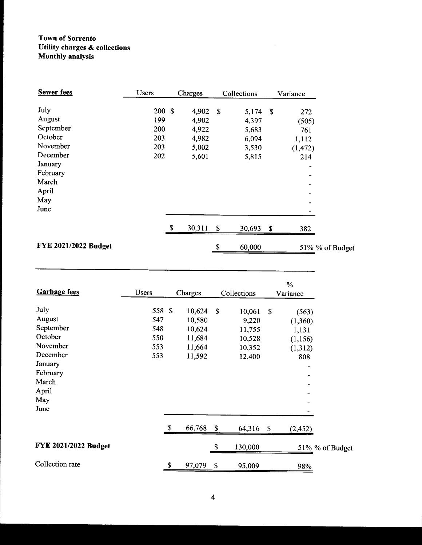# Town of Sorrento Utility charges& collections Monthly analysis

| <b>Sewer</b> fees           | Users  | Charges      |                           | Collections |   | Variance                 |
|-----------------------------|--------|--------------|---------------------------|-------------|---|--------------------------|
| July                        | 200 \$ | 4,902        | - \$                      | $5,174$ \$  |   | 272                      |
| August                      | 199    | 4,902        |                           | 4,397       |   | (505)                    |
| September                   | 200    | 4,922        |                           | 5,683       |   | 761                      |
| October                     | 203    | 4,982        |                           | 6,094       |   | 1,112                    |
| November                    | 203    | 5,002        |                           | 3,530       |   | (1, 472)                 |
| December                    | 202    | 5,601        |                           | 5,815       |   | 214                      |
| January                     |        |              |                           |             |   |                          |
| February                    |        |              |                           |             |   |                          |
| March                       |        |              |                           |             |   |                          |
| April                       |        |              |                           |             |   | $\overline{\phantom{a}}$ |
| May                         |        |              |                           |             |   | $\blacksquare$           |
| June                        |        |              |                           |             |   |                          |
|                             |        | \$<br>30,311 | $\boldsymbol{\mathsf{S}}$ | 30,693      | S | 382                      |
| <b>FYE 2021/2022 Budget</b> |        |              | \$                        | 60,000      |   | 51% % of Budget          |

|                      |              |    |         |    |             |    | $\%$                         |                 |
|----------------------|--------------|----|---------|----|-------------|----|------------------------------|-----------------|
| <b>Garbage fees</b>  | <b>Users</b> |    | Charges |    | Collections |    | Variance                     |                 |
| July                 | 558 \$       |    | 10,624  | \$ | 10,061      | S  | (563)                        |                 |
| August               | 547          |    | 10,580  |    | 9,220       |    | (1,360)                      |                 |
| September            | 548          |    | 10,624  |    | 11,755      |    | 1,131                        |                 |
| October              | 550          |    | 11,684  |    | 10,528      |    | (1, 156)                     |                 |
| November             | 553          |    | 11,664  |    | 10,352      |    | (1,312)                      |                 |
| December             | 553          |    | 11,592  |    | 12,400      |    | 808                          |                 |
| January              |              |    |         |    |             |    | $\qquad \qquad \blacksquare$ |                 |
| February             |              |    |         |    |             |    |                              |                 |
| March                |              |    |         |    |             |    |                              |                 |
| April                |              |    |         |    |             |    | $\qquad \qquad \blacksquare$ |                 |
| May                  |              |    |         |    |             |    | -                            |                 |
| June                 |              |    |         |    |             |    |                              |                 |
|                      |              | S. | 66,768  | \$ | 64,316      | -S | (2, 452)                     |                 |
| FYE 2021/2022 Budget |              |    |         | S  | 130,000     |    |                              | 51% % of Budget |
| Collection rate      |              | \$ | 97,079  | \$ | 95,009      |    | 98%                          |                 |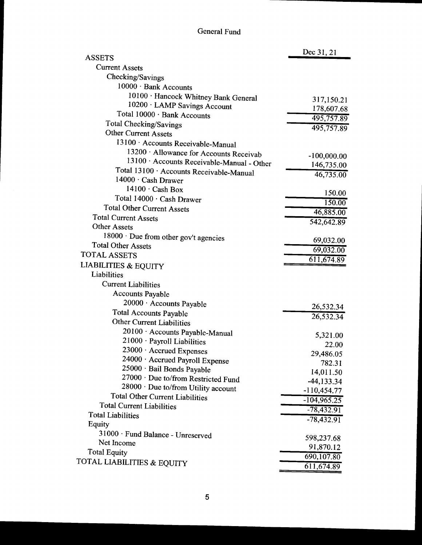| <b>ASSETS</b>                                               | Dec 31, 21    |
|-------------------------------------------------------------|---------------|
| <b>Current Assets</b>                                       |               |
| Checking/Savings                                            |               |
| 10000 · Bank Accounts                                       |               |
|                                                             |               |
| 10100 · Hancock Whitney Bank General                        | 317,150.21    |
| 10200 · LAMP Savings Account<br>Total 10000 · Bank Accounts | 178,607.68    |
|                                                             | 495,757.89    |
| Total Checking/Savings<br><b>Other Current Assets</b>       | 495,757.89    |
|                                                             |               |
| 13100 Accounts Receivable-Manual                            |               |
| 13200 · Allowance for Accounts Receivab                     | $-100,000.00$ |
| 13100 · Accounts Receivable-Manual - Other                  | 146,735.00    |
| Total 13100 · Accounts Receivable-Manual                    | 46,735.00     |
| 14000 · Cash Drawer                                         |               |
| $14100 \cdot$ Cash Box                                      | 150.00        |
| Total 14000 · Cash Drawer                                   | 150.00        |
| <b>Total Other Current Assets</b>                           | 46,885.00     |
| <b>Total Current Assets</b>                                 | 542,642.89    |
| <b>Other Assets</b>                                         |               |
| 18000 · Due from other gov't agencies                       | 69,032.00     |
| <b>Total Other Assets</b>                                   | 69,032.00     |
| <b>TOTAL ASSETS</b>                                         | 611, 674.89   |
| <b>LIABILITIES &amp; EQUITY</b>                             |               |
| Liabilities                                                 |               |
| <b>Current Liabilities</b>                                  |               |
| <b>Accounts Payable</b>                                     |               |
| 20000 · Accounts Payable                                    | 26,532.34     |
| <b>Total Accounts Payable</b>                               | 26,532.34     |
| <b>Other Current Liabilities</b>                            |               |
| 20100 · Accounts Payable-Manual                             | 5,321.00      |
| 21000 · Payroll Liabilities                                 | 22.00         |
| 23000 · Accrued Expenses                                    | 29,486.05     |
| 24000 · Accrued Payroll Expense                             | 782.31        |
| 25000 · Bail Bonds Payable                                  | 14,011.50     |
| 27000 · Due to/from Restricted Fund                         | $-44, 133.34$ |
| 28000 · Due to/from Utility account                         | $-110,454.77$ |
| <b>Total Other Current Liabilities</b>                      | $-104,965.25$ |
| <b>Total Current Liabilities</b>                            |               |
| <b>Total Liabilities</b>                                    | $-78,432.91$  |
| Equity                                                      | $-78,432.91$  |
| 31000 · Fund Balance - Unreserved                           |               |
| Net Income                                                  | 598,237.68    |
| <b>Total Equity</b>                                         | 91,870.12     |
| TOTAL LIABILITIES & EQUITY                                  | 690,107.80    |
|                                                             | 611,674.89    |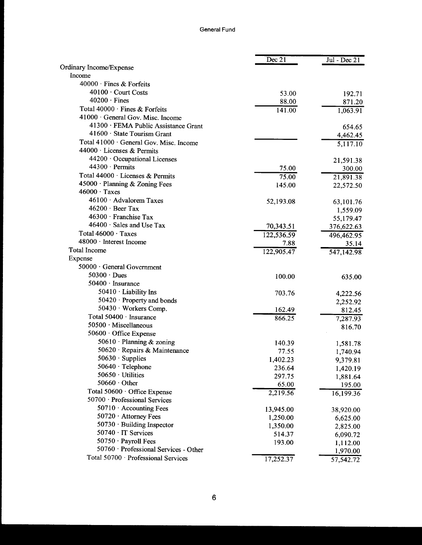|                                         | Dec 21              | $Jul - Dec 21$        |
|-----------------------------------------|---------------------|-----------------------|
| Ordinary Income/Expense                 |                     |                       |
| Income                                  |                     |                       |
| 40000 · Fines & Forfeits                |                     |                       |
| 40100 · Court Costs                     | 53.00               | 192.71                |
| $40200 \cdot$ Fines                     | 88.00               | 871.20                |
| Total 40000 · Fines & Forfeits          | $\overline{141.00}$ | 1,063.91              |
| 41000 · General Gov. Misc. Income       |                     |                       |
| 41300 · FEMA Public Assistance Grant    |                     | 654.65                |
| $41600 \cdot$ State Tourism Grant       |                     | 4,462.45              |
| Total 41000 · General Gov. Misc. Income |                     | $\overline{5,}117.10$ |
| 44000 · Licenses & Permits              |                     |                       |
| 44200 · Occupational Licenses           |                     | 21,591.38             |
| $44300 \cdot$ Permits                   | 75.00               | 300.00                |
| Total 44000 · Licenses & Permits        | 75.00               | 21,891.38             |
| 45000 · Planning & Zoning Fees          | 145.00              | 22,572.50             |
| $46000 \cdot \text{Taxes}$              |                     |                       |
| 46100 · Advalorem Taxes                 | 52,193.08           | 63,101.76             |
| $46200 \cdot$ Beer Tax                  |                     | 1,559.09              |
| 46300 · Franchise Tax                   |                     | 55,179.47             |
| 46400 · Sales and Use Tax               | 70,343.51           | 376,622.63            |
| Total 46000 · Taxes                     | 122,536.59          | 496,462.95            |
| 48000 · Interest Income                 | 7.88                | 35.14                 |
| <b>Total Income</b>                     | 122,905.47          | 547,142.98            |
| Expense                                 |                     |                       |
| 50000 · General Government              |                     |                       |
| $50300 \cdot$ Dues                      | 100.00              | 635.00                |
| 50400 · Insurance                       |                     |                       |
| 50410 $\cdot$ Liability Ins             | 703.76              | 4,222.56              |
| $50420 \cdot$ Property and bonds        |                     | 2,252.92              |
| 50430 · Workers Comp.                   | 162.49              | 812.45                |
| Total 50400 · Insurance                 | 866.25              | 7,287.93              |
| 50500 · Miscellaneous                   |                     | 816.70                |
| 50600 Office Expense                    |                     |                       |
| 50610 · Planning & zoning               | 140.39              | 1,581.78              |
| 50620 · Repairs & Maintenance           | 77.55               | 1,740.94              |
| 50630 · Supplies                        | 1,402.23            | 9,379.81              |
| 50640 · Telephone                       | 236.64              | 1,420.19              |
| 50650 · Utilities                       | 297.75              | 1,881.64              |
| $50660 \cdot$ Other                     | 65.00               | 195.00                |
| Total 50600 · Office Expense            | 2,219.56            | 16,199.36             |
| 50700 · Professional Services           |                     |                       |
| 50710 Accounting Fees                   | 13,945.00           |                       |
| 50720 · Attorney Fees                   | 1,250.00            | 38,920.00             |
| 50730 · Building Inspector              |                     | 6,625.00              |
| 50740 · IT Services                     | 1,350.00<br>514.37  | 2,825.00              |
| 50750 · Payroll Fees                    | 193.00              | 6,090.72              |
| 50760 · Professional Services - Other   |                     | 1,112.00              |
| Total 50700 · Professional Services     |                     | 1,970.00              |
|                                         | 17,252.37           | 57,542.72             |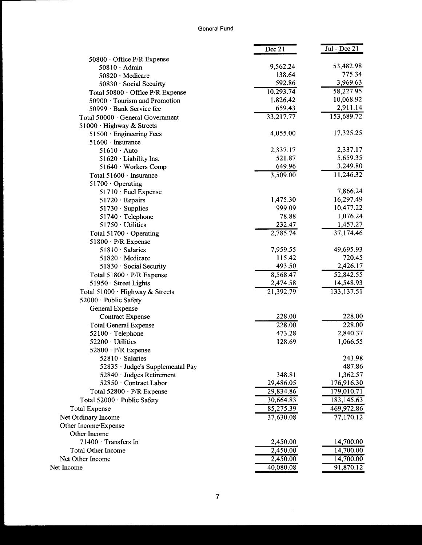|                                  | Dec 21    | $\overline{Jul}$ - Dec 21 |
|----------------------------------|-----------|---------------------------|
| $50800 \cdot$ Office P/R Expense |           |                           |
| $50810 \cdot$ Admin              | 9,562.24  | 53,482.98                 |
| $50820 \cdot$ Medicare           | 138.64    | 775.34                    |
| 50830 · Social Secuirty          | 592.86    | 3,969.63                  |
| Total 50800 · Office P/R Expense | 10,293.74 | 58,227.95                 |
| 50900 · Tourism and Promotion    | 1,826.42  | 10,068.92                 |
| 50999 · Bank Service fee         | 659.43    | 2,911.14                  |
| Total 50000 · General Government | 33,217.77 | 153,689.72                |
| 51000 · Highway & Streets        |           |                           |
| 51500 · Engineering Fees         | 4,055.00  | 17,325.25                 |
| $51600 \cdot$ Insurance          |           |                           |
| $51610 \cdot$ Auto               | 2,337.17  | 2,337.17                  |
| 51620 · Liability Ins.           | 521.87    | 5,659.35                  |
| 51640 · Workers Comp             | 649.96    | 3,249.80                  |
| Total 51600 · Insurance          | 3,509.00  | 11,246.32                 |
| 51700 $\cdot$ Operating          |           |                           |
| $51710 \cdot$ Fuel Expense       |           | 7,866.24                  |
| $51720 \cdot Repairs$            | 1,475.30  | 16,297.49                 |
| $51730 \cdot$ Supplies           | 999.09    | 10,477.22                 |
| $51740 \cdot$ Telephone          | 78.88     | 1,076.24                  |
| 51750 · Utilities                | 232.47    | 1,457.27                  |
| Total $51700 \cdot$ Operating    | 2,785.74  | 37,174.46                 |
| $51800 \cdot P/R$ Expense        |           |                           |
| 51810 · Salaries                 | 7,959.55  | 49,695.93                 |
| 51820 · Medicare                 | 115.42    | 720.45                    |
| 51830 · Social Security          | 493.50    | 2,426.17                  |
| Total 51800 · P/R Expense        | 8,568.47  | 52,842.55                 |
| 51950 · Street Lights            | 2,474.58  | 14,548.93                 |
| Total 51000 · Highway & Streets  | 21,392.79 | 133,137.51                |
| 52000 · Public Safety            |           |                           |
| General Expense                  |           |                           |
| <b>Contract Expense</b>          | 228.00    | 228.00                    |
| <b>Total General Expense</b>     | 228.00    | 228.00                    |
| 52100 · Telephone                | 473.28    | 2,840.37                  |
| 52200 · Utilities                | 128.69    | 1,066.55                  |
| $52800 \cdot P/R$ Expense        |           |                           |
| $52810 \cdot$ Salaries           |           | 243.98                    |
| 52835 · Judge's Supplemental Pay |           | 487.86                    |
| $52840 \cdot$ Judges Retirement  | 348.81    | 1,362.57                  |
| 52850 · Contract Labor           | 29,486.05 | 176,916.30                |
| Total 52800 · P/R Expense        | 29,834.86 | 179,010.71                |
| Total 52000 · Public Safety      | 30,664.83 | 183, 145.63               |
| <b>Total Expense</b>             | 85,275.39 | 469,972.86                |
| Net Ordinary Income              | 37,630.08 | $\overline{77}, 170.12$   |
| Other Income/Expense             |           |                           |
| Other Income                     |           |                           |
| 71400 · Transfers In             | 2,450.00  | 14,700.00                 |
| <b>Total Other Income</b>        | 2,450.00  | 14,700.00                 |
| Net Other Income                 | 2,450.00  | 14,700.00                 |
| Net Income                       | 40,080.08 | 91,870.12                 |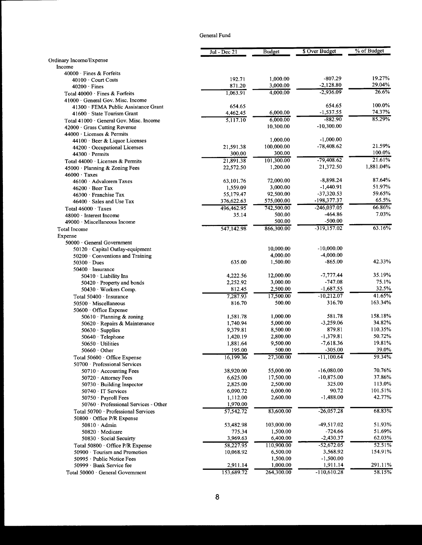|                                                                         | Jul - Dec 21         | <b>Budget</b>        | \$ Over Budget        | % of Budget       |
|-------------------------------------------------------------------------|----------------------|----------------------|-----------------------|-------------------|
| Ordinary Income/Expense                                                 |                      |                      |                       |                   |
| Income                                                                  |                      |                      |                       |                   |
| 40000 Fines & Forfeits                                                  | 192.71               | 1,000.00             | $-807.29$             | 19.27%            |
| $40100 \cdot$ Court Costs                                               | 871.20               | 3,000.00             | $-2,128.80$           | 29.04%            |
| $40200 \cdot$ Fines                                                     | 1,063.91             | 4.000.00             | $-2,936.09$           | 26.6%             |
| Total 40000 Fines & Forfeits<br>$41000 \cdot$ General Gov. Misc. Income |                      |                      |                       |                   |
| 41300 · FEMA Public Assistance Grant                                    | 654.65               |                      | 654.65                | 100.0%            |
| $41600 \cdot$ State Tourism Grant                                       | 4,462.45             | 6,000.00             | $-1,537.55$           | 74.37%            |
| Total 41000 · General Gov. Misc. Income                                 | 5,117.10             | 6,000.00             | $-882.90$             | 85.29%            |
| 42000 Grass Cutting Revenue                                             |                      | 10,300.00            | $-10,300.00$          |                   |
| 44000 Licenses & Permits                                                |                      |                      |                       |                   |
| 44100 · Beer & Liquor Licenses                                          |                      | 1,000.00             | $-1,000.00$           |                   |
| 44200 · Occupational Licenses                                           | 21,591.38            | 100,000.00           | $-78,408.62$          | 21.59%            |
| 44300 · Permits                                                         | 300.00               | 300.00               |                       | 100.0%            |
| Total 44000 · Licenses & Permits                                        | 21,891.38            | 101,300.00           | $-79,408.62$          | 21.61%            |
| $45000 \cdot$ Planning & Zoning Fees                                    | 22,572.50            | 1,200.00             | 21,372.50             | 1,881.04%         |
| $46000 \cdot \text{Taxes}$                                              |                      |                      |                       |                   |
| 46100 · Advalorem Taxes                                                 | 63,101.76            | 72,000.00            | $-8,898.24$           | 87.64%            |
| 46200 Beer Tax                                                          | 1,559.09             | 3,000.00             | $-1,440.91$           | 51.97%            |
| $46300 \cdot$ Franchise Tax                                             | 55,179.47            | 92,500.00            | $-37,320.53$          | 59.65%            |
| $46400 \cdot$ Sales and Use Tax                                         | 376,622.63           | 575,000.00           | -198,377.37           | 65.5%             |
| Total $46000 \cdot$ Taxes                                               | 496,462.95           | 742,500.00           | $-246,037.05$         | 66.86%            |
| 48000 · Interest Income                                                 | 35.14                | 500.00               | -464.86               | 7.03%             |
| 49000 Miscellaneous Income                                              |                      | 500.00               | $-500.00$             |                   |
| Total Income                                                            | 547,142.98           | 866,300.00           | $-319,157.02$         | 63.16%            |
| Expense                                                                 |                      |                      |                       |                   |
| 50000 · General Government                                              |                      |                      |                       |                   |
| 50120 · Capital Outlay-equipment                                        |                      | 10,000.00            | $-10,000.00$          |                   |
| 50200 Conventions and Training                                          |                      | 4,000.00             | -4,000.00             |                   |
| $50300 \cdot Dues$                                                      | 635.00               | 1,500.00             | $-865.00$             | 42.33%            |
| $50400 \cdot$ Insurance                                                 |                      |                      |                       |                   |
| 50410 · Liability Ins                                                   | 4,222.56             | 12,000.00            | $-7,777.44$           | 35.19%            |
| 50420 · Property and bonds                                              | 2,252.92             | 3,000.00             | $-747.08$             | 75.1%             |
| 50430 · Workers Comp.                                                   | 812.45               | 2,500.00             | $-1,687.55$           | 32.5%             |
| Total 50400 · Insurance                                                 | 7,287.93             | 17,500.00            | $-10,212.07$          | 41.65%            |
| 50500 · Miscellaneous                                                   | 816.70               | 500.00               | 316.70                | 163.34%           |
| 50600 Office Expense                                                    |                      |                      |                       |                   |
| 50610 · Planning & zoning                                               | 1,581.78             | 1,000.00             | 581.78                | 158.18%<br>34.82% |
| 50620 · Repairs & Maintenance                                           | 1,740.94             | 5,000.00             | $-3,259.06$<br>879.81 | 110.35%           |
| $50630 \cdot$ Supplies                                                  | 9,379.81             | 8,500.00<br>2,800.00 | $-1,379.81$           | 50.72%            |
| 50640 · Telephone<br>50650 · Utilities                                  | 1,420.19<br>1,881.64 | 9,500.00             | $-7,618.36$           | 19.81%            |
| $50660 \cdot$ Other                                                     | 195.00               | 500.00               | $-305.00$             | 39.0%             |
| Total 50600 Office Expense                                              | 16,199.36            | 27,300.00            | $-11,100.64$          | 59.34%            |
| 50700 · Professional Services                                           |                      |                      |                       |                   |
| 50710 Accounting Fees                                                   | 38,920.00            | 55,000.00            | $-16,080.00$          | 70.76%            |
| 50720 · Attorney Fees                                                   | 6,625.00             | 17,500.00            | $-10,875.00$          | 37.86%            |
| $50730 \cdot$ Building Inspector                                        | 2,825.00             | 2,500.00             | 325.00                | 113.0%            |
| 50740 · IT Services                                                     | 6,090.72             | 6,000.00             | 90.72                 | 101.51%           |
| 50750 · Payroll Fees                                                    | 1,112.00             | 2,600.00             | $-1,488.00$           | 42.77%            |
| 50760 · Professional Services - Other                                   | 1,970.00             |                      |                       |                   |
| Total $50700 \cdot$ Professional Services                               | 57,542.72            | 83,600.00            | $-26,057.28$          | 68.83%            |
| 50800 $\cdot$ Office P/R Expense                                        |                      |                      |                       |                   |
| $50810 \cdot$ Admin                                                     | 53,482.98            | 103,000.00           | -49,517.02            | 51.93%            |
| 50820 Medicare                                                          | 775.34               | 1,500.00             | $-724.66$             | 51.69%            |
| 50830 · Social Secuirty                                                 | 3,969.63             | 6,400.00             | $-2,430.37$           | 62.03%            |
| Total 50800 Office P/R Expense                                          | 58,227.95            | 110,900.00           | $-52,672.05$          | 52.51%            |
| 50900 · Tourism and Promotion                                           | 10,068.92            | 6,500.00             | 3,568.92              | 154.91%           |
| 50995 · Public Notice Fees                                              |                      | 1,500.00             | $-1,500.00$           |                   |
| 50999 · Bank Service fee                                                | 2,911.14             | 1,000.00             | 1,911.14              | 291.11%           |
| Total 50000 · General Government                                        | 153,689.72           | 264,300.00           | $-110,610.28$         | 58.15%            |
|                                                                         |                      |                      |                       |                   |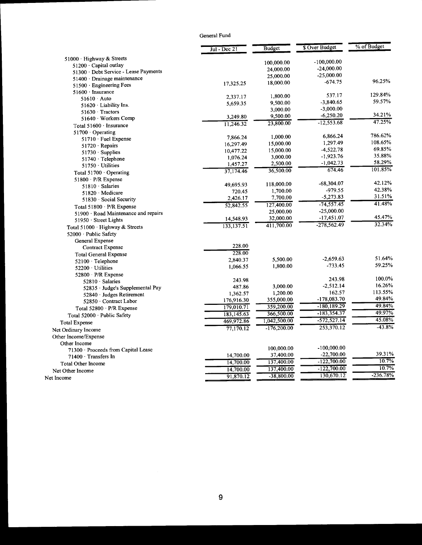|                                       | $\overline{Jul}$ - Dec 21 | <b>Budget</b>           | <b>\$ Over Budget</b> | % of Budget |
|---------------------------------------|---------------------------|-------------------------|-----------------------|-------------|
| 51000 · Highway & Streets             |                           |                         | $-100,000.00$         |             |
| 51200 Capital outlay                  |                           | 100,000.00<br>24,000.00 | $-24,000.00$          |             |
| 51300 · Debt Service - Lease Payments |                           | 25,000.00               | $-25,000.00$          |             |
| 51400 · Drainage maintenance          |                           | 18,000.00               | $-674.75$             | 96.25%      |
| 51500 · Engineering Fees              | 17,325.25                 |                         |                       |             |
| 51600 · Insurance                     |                           | 1,800.00                | 537.17                | 129.84%     |
| $51610 \cdot$ Auto                    | 2,337.17                  | 9,500.00                | $-3,840.65$           | 59.57%      |
| $51620 \cdot$ Liability Ins.          | 5,659.35                  | 3,000.00                | $-3,000.00$           |             |
| 51630 Tractors                        |                           | 9,500.00                | $-6,250.20$           | 34.21%      |
| 51640 Workers Comp                    | 3,249.80                  | 23,800.00               | $-12,553.68$          | 47.25%      |
| Total 51600 · Insurance               | 11,246.32                 |                         |                       |             |
| $51700 \cdot$ Operating               |                           | 1,000.00                | 6,866.24              | 786.62%     |
| 51710 · Fuel Expense                  | 7,866.24                  | 15,000.00               | 1,297.49              | 108.65%     |
| $51720 \cdot Repairs$                 | 16,297.49                 | 15,000.00               | $-4,522.78$           | 69.85%      |
| $51730 \cdot$ Supplies                | 10,477.22                 |                         | $-1,923.76$           | 35.88%      |
| 51740 · Telephone                     | 1,076.24                  | 3,000.00                | $-1,042.73$           | 58.29%      |
| 51750 · Utilities                     | 1,457.27                  | 2,500.00                | 674.46                | 101.85%     |
| Total $51700 \cdot$ Operating         | 37.174.46                 | 36,500.00               |                       |             |
| $51800 \cdot P/R$ Expense             |                           |                         | -68,304.07            | 42.12%      |
| $51810 \cdot$ Salaries                | 49,695.93                 | 118,000.00              | $-979.55$             | 42.38%      |
| 51820 Medicare                        | 720.45                    | 1,700.00                | $-5,273.83$           | 31.51%      |
| 51830 Social Security                 | 2,426.17                  | 7,700.00                |                       | 41.48%      |
| Total 51800 · P/R Expense             | 52,842.55                 | 127,400.00              | $-74,557.45$          |             |
| 51900 · Road Maintenance and repairs  |                           | 25,000.00               | $-25,000.00$          | 45.47%      |
| 51950 · Street Lights                 | 14,548.93                 | 32,000.00               | $-17,451.07$          | 32.34%      |
| Total $51000 \cdot$ Highway & Streets | 133, 137.51               | 411,700.00              | -278,562.49           |             |
| 52000 · Public Safety                 |                           |                         |                       |             |
| General Expense                       |                           |                         |                       |             |
| <b>Contract Expense</b>               | 228.00                    |                         |                       |             |
| <b>Total General Expense</b>          | 228.00                    |                         |                       |             |
| 52100 · Telephone                     | 2.840.37                  | 5,500.00                | $-2,659.63$           | 51.64%      |
| 52200 · Utilities                     | 1,066.55                  | 1,800.00                | $-733.45$             | 59.25%      |
| 52800 $\cdot$ P/R Expense             |                           |                         |                       |             |
| $52810 \cdot$ Salaries                | 243.98                    |                         | 243.98                | 100.0%      |
| 52835 · Judge's Supplemental Pay      | 487.86                    | 3,000.00                | $-2,512.14$           | 16.26%      |
| 52840 · Judges Retirement             | 1,362.57                  | 1,200.00                | 162.57                | 113.55%     |
| 52850 · Contract Labor                | 176,916.30                | 355,000.00              | -178,083.70           | 49.84%      |
| Total 52800 · P/R Expense             | 179,010.71                | 359,200.00              | $-180, 189.29$        | 49.84%      |
| Total 52000 · Public Safety           | 183,145.63                | 366,500.00              | $-183,354.37$         | 49.97%      |
| <b>Total Expense</b>                  | 469,972.86                | 1,042,500.00            | $-572,527.14$         | 45.08%      |
| Net Ordinary Income                   | 77,170.12                 | $-176,200.00$           | 253,370.12            | $-43.8%$    |
| Other Income/Expense                  |                           |                         |                       |             |
| Other Income                          |                           |                         |                       |             |
| 71300 Proceeds from Capital Lease     |                           | 100,000.00              | $-100,000.00$         |             |
| 71400 Transfers In                    | 14,700.00                 | 37,400.00               | $-22,700.00$          | 39.31%      |
| <b>Total Other Income</b>             | 14,700.00                 | 137,400.00              | $-122,700.00$         | 10.7%       |
| Net Other Income                      | 14,700.00                 | 137,400.00              | $-122,700.00$         | 10.7%       |
| Net Income                            | 91,870.12                 | $-38,800.00$            | 130,670.12            | $-236.78%$  |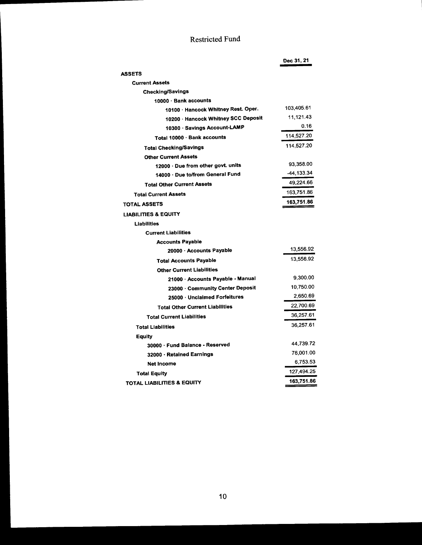# Restricted Fund

|                                        | Dec 31, 21 |
|----------------------------------------|------------|
| <b>ASSETS</b>                          |            |
| <b>Current Assets</b>                  |            |
| <b>Checking/Savings</b>                |            |
| 10000 · Bank accounts                  |            |
| 10100 · Hancock Whitney Rest. Oper.    | 103,405.61 |
| 10200 · Hancock Whitney SCC Deposit    | 11,121.43  |
| 10300 · Savings Account-LAMP           | 0.16       |
| Total 10000 · Bank accounts            | 114,527.20 |
| <b>Total Checking/Savings</b>          | 114,527.20 |
| <b>Other Current Assets</b>            |            |
| 12000 - Due from other govt. units     | 93,358.00  |
| 14000 · Due to/from General Fund       | -44.133.34 |
| <b>Total Other Current Assets</b>      | 49.224.66  |
| <b>Total Current Assets</b>            | 163,751.86 |
| TOTAL ASSETS                           | 163,751.86 |
| <b>LIABILITIES &amp; EQUITY</b>        |            |
| Liabilities                            |            |
| <b>Current Liabilities</b>             |            |
| <b>Accounts Payable</b>                |            |
| 20000 · Accounts Payable               | 13,556.92  |
| <b>Total Accounts Payable</b>          | 13,556.92  |
| <b>Other Current Liabilities</b>       |            |
| 21000 · Accounts Payable - Manual      | 9,300.00   |
| 23000 - Community Center Deposit       | 10,750.00  |
| 25000 Unclaimed Forfeitures            | 2,650.69   |
| <b>Total Other Current Liabilities</b> | 22,700.69  |
| <b>Total Current Liabilities</b>       | 36,257.61  |
| <b>Total Liabilities</b>               | 36,257.61  |
| <b>Equity</b>                          |            |
| 30000 · Fund Balance - Reserved        | 44,739.72  |
| 32000 · Retained Earnings              | 76,001.00  |
| <b>Net Income</b>                      | 6,753.53   |
| <b>Total Equity</b>                    | 127,494.25 |
| TOTAL LIABILITIES & EQUITY             | 163,751.86 |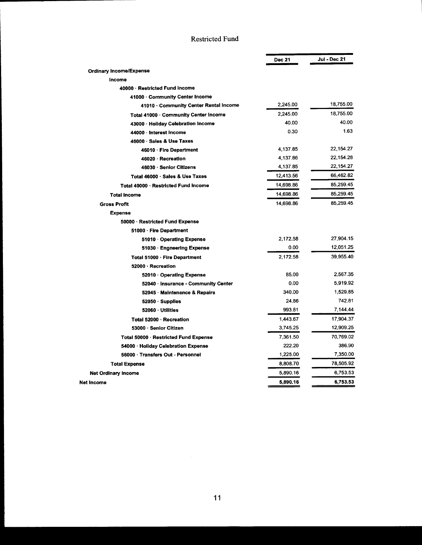### Restricted Fund

|                                       | <b>Dec 21</b> | <b>Jul - Dec 21</b> |
|---------------------------------------|---------------|---------------------|
| <b>Ordinary Income/Expense</b>        |               |                     |
| Income                                |               |                     |
| 40000 · Restricted Fund Income        |               |                     |
| 41000 Community Center Income         |               |                     |
| 41010 Community Center Rental Income  | 2.245.00      | 18,755.00           |
| Total 41000 · Community Center Income | 2,245.00      | 18,755.00           |
| 43000 · Holiday Celebration Income    | 40.00         | 40.00               |
| 44000 · Interest Income               | 0.30          | 1.63                |
| 46000 · Sales & Use Taxes             |               |                     |
| 46010 · Fire Department               | 4,137.85      | 22,154.27           |
| 46020 · Recreation                    | 4,137.86      | 22,154.28           |
| 46030 · Senior Citizens               | 4,137.85      | 22,154.27           |
| Total 46000 · Sales & Use Taxes       | 12,413.56     | 66,462.82           |
| Total 40000 Restricted Fund Income    | 14,698.86     | 85,259.45           |
| <b>Total Income</b>                   | 14,698.86     | 85,259.45           |
| <b>Gross Profit</b>                   | 14,698.86     | 85,259.45           |
| <b>Expense</b>                        |               |                     |
| 50000 · Restricted Fund Expense       |               |                     |
| 51000 · Fire Department               |               |                     |
| 51010 Operating Expense               | 2,172.58      | 27,904.15           |
| 51030 · Engneering Expense            | 0.00          | 12,051.25           |
| Total 51000 · Fire Department         | 2,172.58      | 39,955.40           |
| 52000 · Recreation                    |               |                     |
| 52010 Operating Expense               | 85.00         | 2,567.35            |
| 52040 · Insurance - Community Center  | 0.00          | 5,919.92            |
| 52045 - Maintenance & Repairs         | 340.00        | 1,529.85            |
| $52050 \cdot$ Supplies                | 24.86         | 742.81              |
| 52060 · Utilities                     | 993.81        | 7,144.44            |
| Total 52000 · Recreation              | 1,443.67      | 17,904.37           |
| 53000 · Senior Citizen                | 3,745.25      | 12,909.25           |
| Total 50000 · Restricted Fund Expense | 7,361.50      | 70,769.02           |
| 54000 · Holiday Celebration Expense   | 222.20        | 386.90              |
| 56000 · Transfers Out - Personnel     | 1,225.00      | 7,350.00            |
| <b>Total Expense</b>                  | 8,808.70      | 78,505.92           |
| <b>Net Ordinary Income</b>            | 5,890.16      | 6,753.53            |
| Net Income                            | 5,890.16      | 6,753.53            |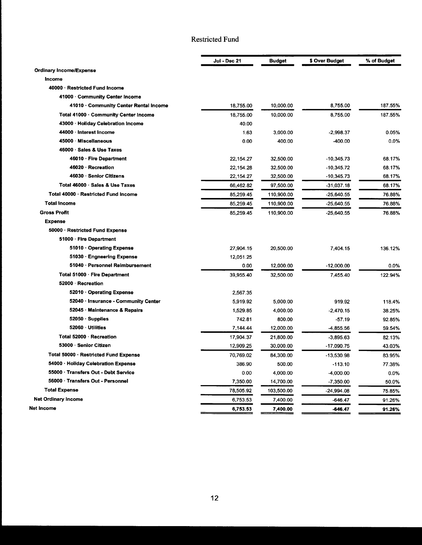# Restricted Fund

|                                       | Jul - Dec 21 | <b>Budget</b> | \$ Over Budget | % of Budget |
|---------------------------------------|--------------|---------------|----------------|-------------|
| <b>Ordinary Income/Expense</b>        |              |               |                |             |
| <b>Income</b>                         |              |               |                |             |
| 40000 · Restricted Fund Income        |              |               |                |             |
| 41000 Community Center Income         |              |               |                |             |
| 41010 Community Center Rental Income  | 18,755.00    | 10,000.00     | 8,755.00       | 187.55%     |
| Total 41000 · Community Center Income | 18,755.00    | 10,000.00     | 8,755.00       | 187.55%     |
| 43000 · Holiday Celebration Income    | 40.00        |               |                |             |
| 44000 Interest Income                 | 1.63         | 3.000.00      | $-2,998.37$    | 0.05%       |
| 45000 Miscellaneous                   | 0.00         | 400.00        | $-400.00$      | 0.0%        |
| 46000 · Sales & Use Taxes             |              |               |                |             |
| 46010 · Fire Department               | 22, 154. 27  | 32,500.00     | $-10,345.73$   | 68.17%      |
| 46020 Recreation                      | 22,154.28    | 32,500.00     | $-10,345.72$   | 68.17%      |
| 46030 · Senior Citizens               | 22, 154. 27  | 32,500.00     | $-10,345.73$   | 68.17%      |
| Total 46000 Sales & Use Taxes         | 66,462.82    | 97,500.00     | $-31,037.18$   | 68.17%      |
| Total 40000 · Restricted Fund Income  | 85,259.45    | 110,900.00    | $-25,640.55$   | 76.88%      |
| <b>Total Income</b>                   | 85.259.45    | 110,900.00    | $-25,640.55$   | 76.88%      |
| <b>Gross Profit</b>                   | 85.259.45    | 110,900.00    | $-25,640.55$   | 76.88%      |
| <b>Expense</b>                        |              |               |                |             |
| 50000 · Restricted Fund Expense       |              |               |                |             |
| 51000 · Fire Department               |              |               |                |             |
| 51010 Operating Expense               | 27,904.15    | 20,500.00     | 7,404.15       | 136.12%     |
| 51030 · Engneering Expense            | 12,051.25    |               |                |             |
| 51040 · Personnel Reimbursement       | 0.00         | 12,000.00     | $-12,000.00$   | 0.0%        |
| Total 51000 · Fire Department         | 39.955.40    | 32,500.00     | 7,455.40       | 122.94%     |
| 52000 · Recreation                    |              |               |                |             |
| 52010 Operating Expense               | 2,567.35     |               |                |             |
| 52040 · Insurance - Community Center  | 5,919.92     | 5,000.00      | 919.92         | 118.4%      |
| 52045 · Maintenance & Repairs         | 1.529.85     | 4,000.00      | $-2,470.15$    | 38.25%      |
| $52050 \cdot$ Supplies                | 742.81       | 800.00        | $-57.19$       | 92.85%      |
| 52060 · Utilities                     | 7,144.44     | 12,000.00     | $-4,855.56$    | 59.54%      |
| Total 52000 · Recreation              | 17,904.37    | 21,800.00     | $-3,895.63$    | 82.13%      |
| 53000 · Senior Citizen                | 12,909.25    | 30,000.00     | $-17,090.75$   | 43.03%      |
| Total 50000 · Restricted Fund Expense | 70,769.02    | 84,300.00     | $-13.530.98$   | 83.95%      |
| 54000 · Holiday Celebration Expense   | 386.90       | 500.00        | $-113.10$      | 77.38%      |
| 55000 · Transfers Out - Debt Service  | 0.00         | 4,000.00      | $-4,000.00$    | $0.0\%$     |
| 56000 · Transfers Out - Personnel     | 7,350.00     | 14,700.00     | $-7,350.00$    | 50.0%       |
| <b>Total Expense</b>                  | 78,505.92    | 103,500.00    | $-24,994.08$   | 75.85%      |
| <b>Net Ordinary Income</b>            | 6,753.53     | 7,400.00      | $-646.47$      | 91.26%      |
| Net Income                            | 6,753.53     | 7,400.00      | -646.47        | 91.26%      |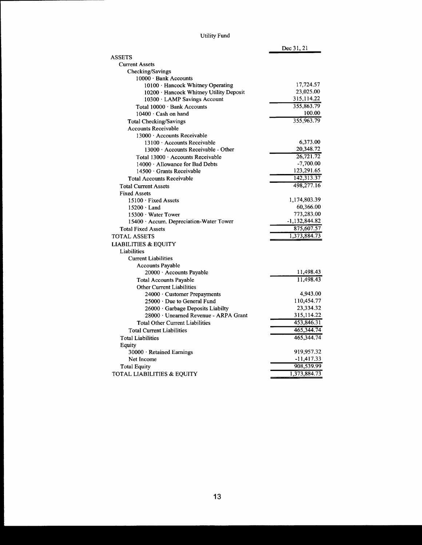# Utility Fund

|                                           | Dec 31, 21      |
|-------------------------------------------|-----------------|
| <b>ASSETS</b>                             |                 |
| <b>Current Assets</b>                     |                 |
| Checking/Savings                          |                 |
| 10000 · Bank Accounts                     |                 |
| 10100 · Hancock Whitney Operating         | 17,724.57       |
| 10200 · Hancock Whitney Utility Deposit   | 23,025.00       |
| 10300 LAMP Savings Account                | 315,114.22      |
| Total 10000 Bank Accounts                 | 355,863.79      |
| $10400 \cdot$ Cash on hand                | 100.00          |
| <b>Total Checking/Savings</b>             | 355,963.79      |
| <b>Accounts Receivable</b>                |                 |
| 13000 Accounts Receivable                 |                 |
| 13100 Accounts Receivable                 | 6,373.00        |
| $13000 \cdot$ Accounts Receivable - Other | 20,348.72       |
| Total 13000 · Accounts Receivable         | 26,721.72       |
| $14000 \cdot$ Allowance for Bad Debts     | $-7,700.00$     |
| 14500 · Grants Receivable                 | 123,291.65      |
| <b>Total Accounts Receivable</b>          | 142,313.37      |
| <b>Total Current Assets</b>               | 498,277.16      |
| <b>Fixed Assets</b>                       |                 |
| $15100 \cdot$ Fixed Assets                | 1,174,803.39    |
| $15200 \cdot$ Land                        | 60,366.00       |
| 15300 · Water Tower                       | 773,283.00      |
| 15400 · Accum. Depreciation-Water Tower   | $-1,132,844.82$ |
| <b>Total Fixed Assets</b>                 | 875,607.57      |
| <b>TOTAL ASSETS</b>                       | 1,373,884.73    |
| <b>LIABILITIES &amp; EQUITY</b>           |                 |
| Liabilities                               |                 |
| <b>Current Liabilities</b>                |                 |
| <b>Accounts Payable</b>                   |                 |
| 20000 · Accounts Payable                  | 11,498.43       |
| <b>Total Accounts Payable</b>             | 11,498.43       |
| <b>Other Current Liabilities</b>          |                 |
| 24000 · Customer Prepayments              | 4,943.00        |
| 25000 Due to General Fund                 | 110,454.77      |
| 26000 · Garbage Deposits Liabilty         | 23,334.32       |
| 28000 · Unearned Revenue - ARPA Grant     | 315,114.22      |
| <b>Total Other Current Liabilities</b>    | 453,846.31      |
| <b>Total Current Liabilities</b>          | 465,344.74      |
| <b>Total Liabilities</b>                  | 465,344.74      |
|                                           |                 |
| Equity                                    | 919,957.32      |
| 30000 · Retained Earnings                 | $-11,417.33$    |
| Net Income                                | 908,539.99      |
| <b>Total Equity</b>                       |                 |
| TOTAL LIABILITIES & EQUITY                | 1,373,884.73    |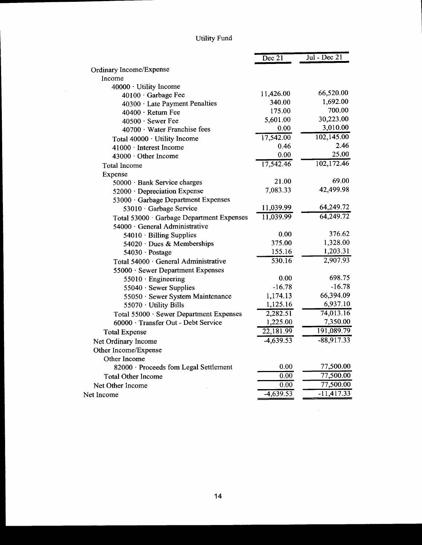# Utility Fund

 $\sim$ 

|                                           | $\overline{Dec\ 21}$   | $\overline{Jul}$ - Dec 21 |
|-------------------------------------------|------------------------|---------------------------|
| Ordinary Income/Expense                   |                        |                           |
| Income                                    |                        |                           |
| 40000 · Utility Income                    |                        |                           |
| 40100 · Garbage Fee                       | 11,426.00              | 66,520.00                 |
| 40300 · Late Payment Penalties            | 340.00                 | 1,692.00                  |
| 40400 · Return Fee                        | 175.00                 | 700.00                    |
| 40500 · Sewer Fee                         | 5,601.00               | 30,223.00                 |
| 40700 · Water Franchise fees              | 0.00                   | 3,010.00                  |
| Total 40000 · Utility Income              | 17,542.00              | 102,145.00                |
| 41000 · Interest Income                   | 0.46                   | 2.46                      |
| 43000 · Other Income                      | 0.00                   | 25.00                     |
| <b>Total Income</b>                       | 17,542.46              | 102,172.46                |
| Expense                                   |                        |                           |
| 50000 · Bank Service charges              | 21.00                  | 69.00                     |
| 52000 · Depreciation Expense              | 7,083.33               | 42,499.98                 |
| 53000 · Garbage Department Expenses       |                        |                           |
| 53010 · Garbage Service                   | 11,039.99              | 64,249.72                 |
| Total 53000 · Garbage Department Expenses | 11,039.99              | 64,249.72                 |
| 54000 · General Administrative            |                        |                           |
| 54010 · Billing Supplies                  | 0.00                   | 376.62                    |
| 54020 · Dues & Memberships                | 375.00                 | 1,328.00                  |
| 54030 · Postage                           | 155.16                 | 1,203.31                  |
| Total 54000 · General Administrative      | 530.16                 | 2,907.93                  |
| 55000 · Sewer Department Expenses         |                        |                           |
| 55010 · Engineering                       | 0.00                   | 698.75                    |
| 55040 · Sewer Supplies                    | $-16.78$               | $-16.78$                  |
| 55050 · Sewer System Maintenance          | 1,174.13               | 66,394.09                 |
| 55070 · Utility Bills                     | 1,125.16               | 6,937.10                  |
| Total 55000 · Sewer Department Expenses   | 2,282.51               | 74,013.16                 |
| 60000 · Transfer Out - Debt Service       | 1,225.00               | 7,350.00                  |
| <b>Total Expense</b>                      | $\overline{22,181.99}$ | 191,089.79                |
| Net Ordinary Income                       | $-4,639.53$            | $-88,917.33$              |
| Other Income/Expense                      |                        |                           |
| Other Income                              |                        |                           |
| 82000 · Proceeds fom Legal Settlement     | 0.00                   | 77,500.00                 |
| <b>Total Other Income</b>                 | 0.00                   | 77,500.00                 |
| Net Other Income                          | 0.00                   | 77,500.00                 |
| Net Income                                | $-4,639.53$            | $-11,417.33$              |
|                                           |                        |                           |